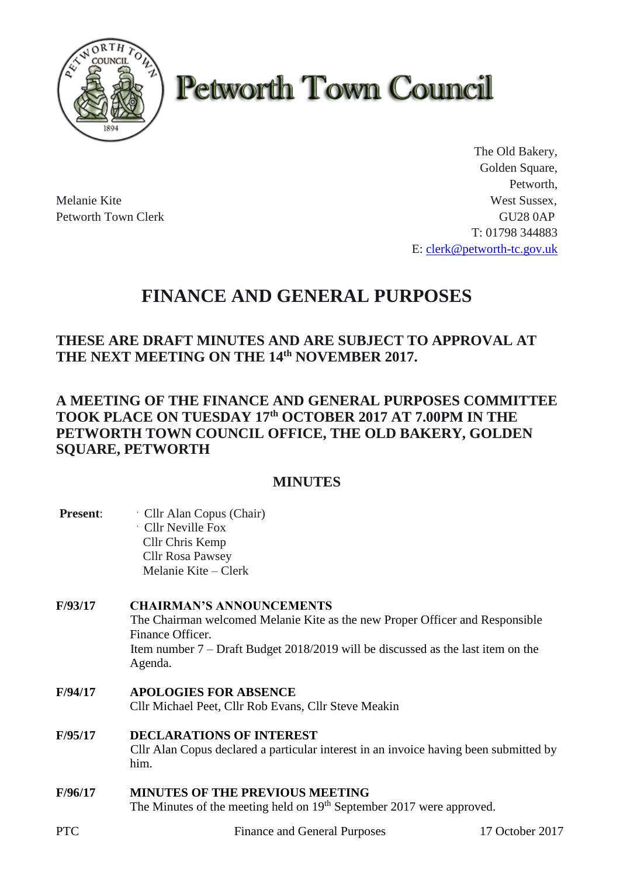

# **Petworth Town Council**

The Old Bakery, Golden Square, Petworth, Melanie Kite West Sussex, Petworth Town Clerk GU28 0AP T: 01798 344883 E: [clerk@petworth-tc.gov.uk](mailto:clerk@petworth-tc.gov.uk)

## **FINANCE AND GENERAL PURPOSES**

## **THESE ARE DRAFT MINUTES AND ARE SUBJECT TO APPROVAL AT THE NEXT MEETING ON THE 14th NOVEMBER 2017.**

## **A MEETING OF THE FINANCE AND GENERAL PURPOSES COMMITTEE TOOK PLACE ON TUESDAY 17th OCTOBER 2017 AT 7.00PM IN THE PETWORTH TOWN COUNCIL OFFICE, THE OLD BAKERY, GOLDEN SQUARE, PETWORTH**

## **MINUTES**

| <b>Present:</b> | Cllr Alan Copus (Chair)<br>Cllr Neville Fox |
|-----------------|---------------------------------------------|
|                 | Cllr Chris Kemp                             |
|                 | <b>Cllr Rosa Pawsey</b>                     |
|                 | Melanie Kite – Clerk                        |

## **F/93/17 CHAIRMAN'S ANNOUNCEMENTS**

The Chairman welcomed Melanie Kite as the new Proper Officer and Responsible Finance Officer. Item number 7 – Draft Budget 2018/2019 will be discussed as the last item on the Agenda.

- **F/94/17 APOLOGIES FOR ABSENCE** Cllr Michael Peet, Cllr Rob Evans, Cllr Steve Meakin
- **F/95/17 DECLARATIONS OF INTEREST** Cllr Alan Copus declared a particular interest in an invoice having been submitted by him.

## **F/96/17 MINUTES OF THE PREVIOUS MEETING**

The Minutes of the meeting held on 19<sup>th</sup> September 2017 were approved.

PTC Finance and General Purposes 17 October 2017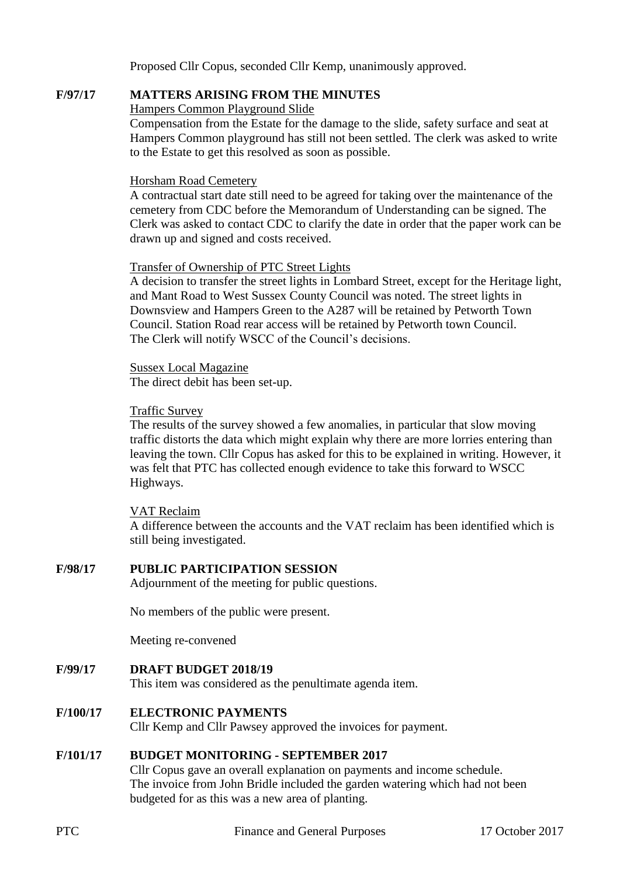Proposed Cllr Copus, seconded Cllr Kemp, unanimously approved.

#### **F/97/17 MATTERS ARISING FROM THE MINUTES**

#### Hampers Common Playground Slide

Compensation from the Estate for the damage to the slide, safety surface and seat at Hampers Common playground has still not been settled. The clerk was asked to write to the Estate to get this resolved as soon as possible.

#### Horsham Road Cemetery

A contractual start date still need to be agreed for taking over the maintenance of the cemetery from CDC before the Memorandum of Understanding can be signed. The Clerk was asked to contact CDC to clarify the date in order that the paper work can be drawn up and signed and costs received.

#### Transfer of Ownership of PTC Street Lights

A decision to transfer the street lights in Lombard Street, except for the Heritage light, and Mant Road to West Sussex County Council was noted. The street lights in Downsview and Hampers Green to the A287 will be retained by Petworth Town Council. Station Road rear access will be retained by Petworth town Council. The Clerk will notify WSCC of the Council's decisions.

Sussex Local Magazine The direct debit has been set-up.

#### Traffic Survey

The results of the survey showed a few anomalies, in particular that slow moving traffic distorts the data which might explain why there are more lorries entering than leaving the town. Cllr Copus has asked for this to be explained in writing. However, it was felt that PTC has collected enough evidence to take this forward to WSCC Highways.

#### VAT Reclaim

A difference between the accounts and the VAT reclaim has been identified which is still being investigated.

#### **F/98/17 PUBLIC PARTICIPATION SESSION**

Adjournment of the meeting for public questions.

No members of the public were present.

Meeting re-convened

**F/99/17 DRAFT BUDGET 2018/19**

This item was considered as the penultimate agenda item.

#### **F/100/17 ELECTRONIC PAYMENTS**

Cllr Kemp and Cllr Pawsey approved the invoices for payment.

#### **F/101/17 BUDGET MONITORING - SEPTEMBER 2017**

Cllr Copus gave an overall explanation on payments and income schedule. The invoice from John Bridle included the garden watering which had not been budgeted for as this was a new area of planting.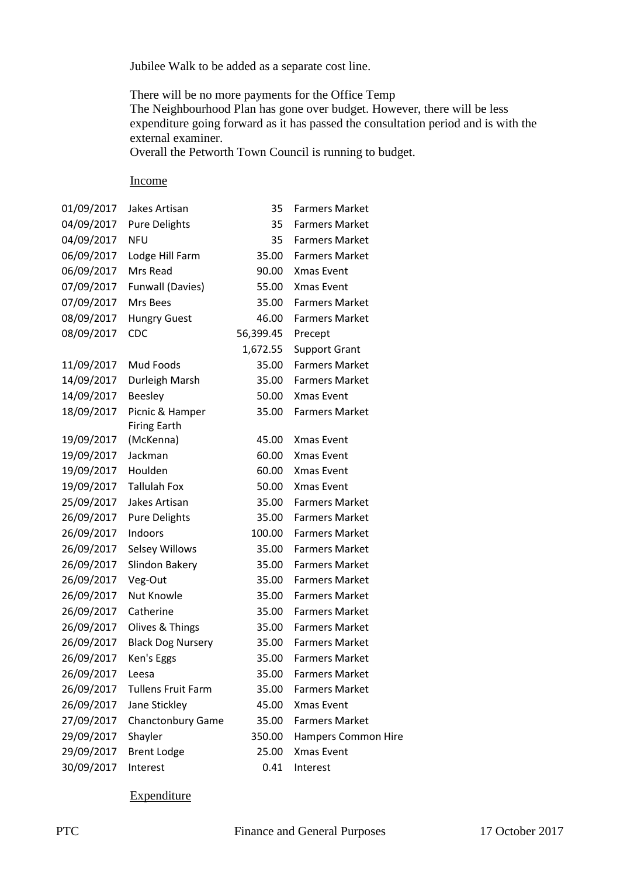Jubilee Walk to be added as a separate cost line.

There will be no more payments for the Office Temp The Neighbourhood Plan has gone over budget. However, there will be less expenditure going forward as it has passed the consultation period and is with the external examiner.

Overall the Petworth Town Council is running to budget.

#### Income

| 01/09/2017 | Jakes Artisan             | 35        | <b>Farmers Market</b> |
|------------|---------------------------|-----------|-----------------------|
| 04/09/2017 | <b>Pure Delights</b>      | 35        | <b>Farmers Market</b> |
| 04/09/2017 | <b>NFU</b>                | 35        | <b>Farmers Market</b> |
| 06/09/2017 | Lodge Hill Farm           | 35.00     | <b>Farmers Market</b> |
| 06/09/2017 | Mrs Read                  | 90.00     | Xmas Event            |
| 07/09/2017 | Funwall (Davies)          | 55.00     | Xmas Event            |
| 07/09/2017 | Mrs Bees                  | 35.00     | <b>Farmers Market</b> |
| 08/09/2017 | <b>Hungry Guest</b>       | 46.00     | <b>Farmers Market</b> |
| 08/09/2017 | CDC                       | 56,399.45 | Precept               |
|            |                           | 1,672.55  | <b>Support Grant</b>  |
| 11/09/2017 | Mud Foods                 | 35.00     | <b>Farmers Market</b> |
| 14/09/2017 | Durleigh Marsh            | 35.00     | <b>Farmers Market</b> |
| 14/09/2017 | <b>Beesley</b>            | 50.00     | Xmas Event            |
| 18/09/2017 | Picnic & Hamper           | 35.00     | <b>Farmers Market</b> |
|            | <b>Firing Earth</b>       |           |                       |
| 19/09/2017 | (McKenna)                 | 45.00     | Xmas Event            |
| 19/09/2017 | Jackman                   | 60.00     | Xmas Event            |
| 19/09/2017 | Houlden                   | 60.00     | Xmas Event            |
| 19/09/2017 | <b>Tallulah Fox</b>       | 50.00     | Xmas Event            |
| 25/09/2017 | Jakes Artisan             | 35.00     | <b>Farmers Market</b> |
| 26/09/2017 | <b>Pure Delights</b>      | 35.00     | <b>Farmers Market</b> |
| 26/09/2017 | Indoors                   | 100.00    | <b>Farmers Market</b> |
| 26/09/2017 | Selsey Willows            | 35.00     | <b>Farmers Market</b> |
| 26/09/2017 | Slindon Bakery            | 35.00     | <b>Farmers Market</b> |
| 26/09/2017 | Veg-Out                   | 35.00     | <b>Farmers Market</b> |
| 26/09/2017 | Nut Knowle                | 35.00     | <b>Farmers Market</b> |
| 26/09/2017 | Catherine                 | 35.00     | <b>Farmers Market</b> |
| 26/09/2017 | Olives & Things           | 35.00     | <b>Farmers Market</b> |
| 26/09/2017 | <b>Black Dog Nursery</b>  | 35.00     | <b>Farmers Market</b> |
| 26/09/2017 | Ken's Eggs                | 35.00     | <b>Farmers Market</b> |
| 26/09/2017 | Leesa                     | 35.00     | <b>Farmers Market</b> |
| 26/09/2017 | <b>Tullens Fruit Farm</b> | 35.00     | <b>Farmers Market</b> |
| 26/09/2017 | Jane Stickley             | 45.00     | Xmas Event            |
| 27/09/2017 | <b>Chanctonbury Game</b>  | 35.00     | <b>Farmers Market</b> |
| 29/09/2017 | Shayler                   | 350.00    | Hampers Common Hire   |
| 29/09/2017 | <b>Brent Lodge</b>        | 25.00     | Xmas Event            |
| 30/09/2017 | Interest                  | 0.41      | Interest              |

### Expenditure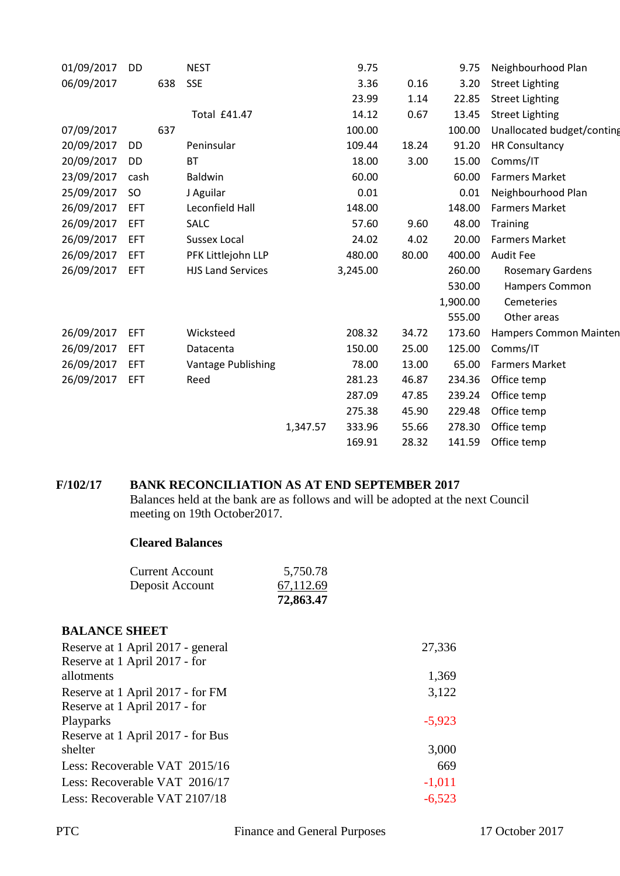| 01/09/2017 | DD         |     | <b>NEST</b>              |          | 9.75     |       | 9.75     | Neighbourhood Plan         |
|------------|------------|-----|--------------------------|----------|----------|-------|----------|----------------------------|
| 06/09/2017 |            | 638 | <b>SSE</b>               |          | 3.36     | 0.16  | 3.20     | <b>Street Lighting</b>     |
|            |            |     |                          |          | 23.99    | 1.14  | 22.85    | <b>Street Lighting</b>     |
|            |            |     | <b>Total £41.47</b>      |          | 14.12    | 0.67  | 13.45    | <b>Street Lighting</b>     |
| 07/09/2017 |            | 637 |                          |          | 100.00   |       | 100.00   | Unallocated budget/conting |
| 20/09/2017 | DD         |     | Peninsular               |          | 109.44   | 18.24 | 91.20    | <b>HR Consultancy</b>      |
| 20/09/2017 | DD         |     | <b>BT</b>                |          | 18.00    | 3.00  | 15.00    | Comms/IT                   |
| 23/09/2017 | cash       |     | Baldwin                  |          | 60.00    |       | 60.00    | <b>Farmers Market</b>      |
| 25/09/2017 | SO         |     | J Aguilar                |          | 0.01     |       | 0.01     | Neighbourhood Plan         |
| 26/09/2017 | EFT        |     | Leconfield Hall          |          | 148.00   |       | 148.00   | <b>Farmers Market</b>      |
| 26/09/2017 | EFT        |     | <b>SALC</b>              |          | 57.60    | 9.60  | 48.00    | Training                   |
| 26/09/2017 | EFT        |     | <b>Sussex Local</b>      |          | 24.02    | 4.02  | 20.00    | <b>Farmers Market</b>      |
| 26/09/2017 | EFT        |     | PFK Littlejohn LLP       |          | 480.00   | 80.00 | 400.00   | <b>Audit Fee</b>           |
| 26/09/2017 | <b>EFT</b> |     | <b>HJS Land Services</b> |          | 3,245.00 |       | 260.00   | <b>Rosemary Gardens</b>    |
|            |            |     |                          |          |          |       | 530.00   | Hampers Common             |
|            |            |     |                          |          |          |       | 1,900.00 | Cemeteries                 |
|            |            |     |                          |          |          |       | 555.00   | Other areas                |
| 26/09/2017 | EFT        |     | Wicksteed                |          | 208.32   | 34.72 | 173.60   | Hampers Common Mainten     |
| 26/09/2017 | EFT        |     | Datacenta                |          | 150.00   | 25.00 | 125.00   | Comms/IT                   |
| 26/09/2017 | <b>EFT</b> |     | Vantage Publishing       |          | 78.00    | 13.00 | 65.00    | <b>Farmers Market</b>      |
| 26/09/2017 | EFT        |     | Reed                     |          | 281.23   | 46.87 | 234.36   | Office temp                |
|            |            |     |                          |          | 287.09   | 47.85 | 239.24   | Office temp                |
|            |            |     |                          |          | 275.38   | 45.90 | 229.48   | Office temp                |
|            |            |     |                          | 1,347.57 | 333.96   | 55.66 | 278.30   | Office temp                |
|            |            |     |                          |          | 169.91   | 28.32 | 141.59   | Office temp                |
|            |            |     |                          |          |          |       |          |                            |

#### **F/102/17 BANK RECONCILIATION AS AT END SEPTEMBER 2017**

Balances held at the bank are as follows and will be adopted at the next Council meeting on 19th October2017.

#### **Cleared Balances**

|                 | 72,863.47 |
|-----------------|-----------|
| Deposit Account | 67,112.69 |
| Current Account | 5,750.78  |

#### **BALANCE SHEET**

| Reserve at 1 April 2017 - general | 27,336   |
|-----------------------------------|----------|
| Reserve at 1 April 2017 - for     |          |
| allotments                        | 1,369    |
| Reserve at 1 April 2017 - for FM  | 3,122    |
| Reserve at 1 April 2017 - for     |          |
| Playparks                         | $-5,923$ |
| Reserve at 1 April 2017 - for Bus |          |
| shelter                           | 3,000    |
| Less: Recoverable VAT 2015/16     | 669      |
| Less: Recoverable VAT 2016/17     | $-1,011$ |
| Less: Recoverable VAT 2107/18     | $-6,523$ |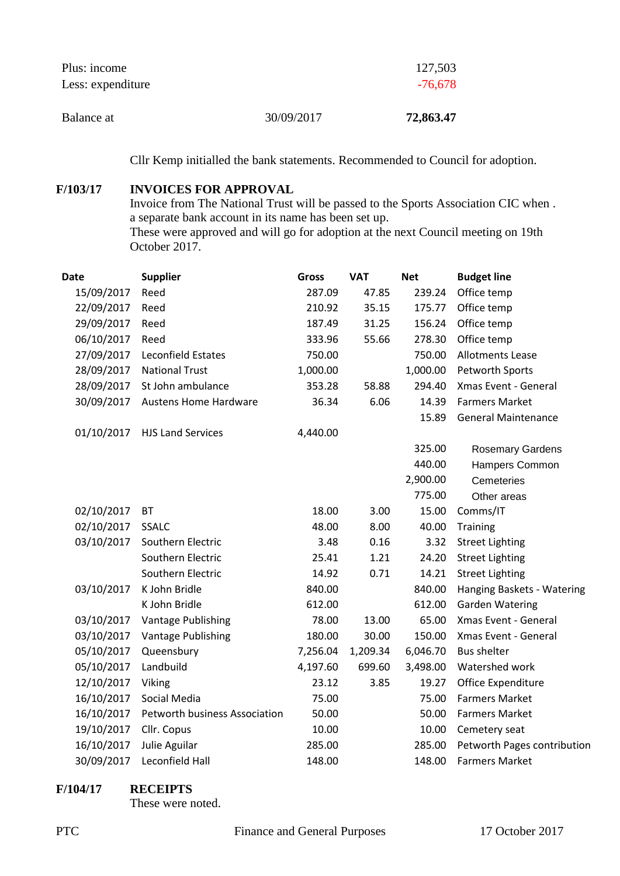| Plus: income<br>Less: expenditure |            | 127,503<br>$-76,678$ |
|-----------------------------------|------------|----------------------|
| Balance at                        | 30/09/2017 | 72,863.47            |

Cllr Kemp initialled the bank statements. Recommended to Council for adoption.

#### **F/103/17 INVOICES FOR APPROVAL**

Invoice from The National Trust will be passed to the Sports Association CIC when . a separate bank account in its name has been set up. These were approved and will go for adoption at the next Council meeting on 19th October 2017.

| <b>Date</b> | <b>Supplier</b>               | <b>Gross</b> | <b>VAT</b> | <b>Net</b> | <b>Budget line</b>          |
|-------------|-------------------------------|--------------|------------|------------|-----------------------------|
| 15/09/2017  | Reed                          | 287.09       | 47.85      | 239.24     | Office temp                 |
| 22/09/2017  | Reed                          | 210.92       | 35.15      | 175.77     | Office temp                 |
| 29/09/2017  | Reed                          | 187.49       | 31.25      | 156.24     | Office temp                 |
| 06/10/2017  | Reed                          | 333.96       | 55.66      | 278.30     | Office temp                 |
| 27/09/2017  | <b>Leconfield Estates</b>     | 750.00       |            | 750.00     | <b>Allotments Lease</b>     |
| 28/09/2017  | <b>National Trust</b>         | 1,000.00     |            | 1,000.00   | Petworth Sports             |
| 28/09/2017  | St John ambulance             | 353.28       | 58.88      | 294.40     | Xmas Event - General        |
| 30/09/2017  | <b>Austens Home Hardware</b>  | 36.34        | 6.06       | 14.39      | <b>Farmers Market</b>       |
|             |                               |              |            | 15.89      | <b>General Maintenance</b>  |
| 01/10/2017  | <b>HJS Land Services</b>      | 4,440.00     |            |            |                             |
|             |                               |              |            | 325.00     | <b>Rosemary Gardens</b>     |
|             |                               |              |            | 440.00     | Hampers Common              |
|             |                               |              |            | 2,900.00   | Cemeteries                  |
|             |                               |              |            | 775.00     | Other areas                 |
| 02/10/2017  | <b>BT</b>                     | 18.00        | 3.00       | 15.00      | Comms/IT                    |
| 02/10/2017  | <b>SSALC</b>                  | 48.00        | 8.00       | 40.00      | <b>Training</b>             |
| 03/10/2017  | Southern Electric             | 3.48         | 0.16       | 3.32       | <b>Street Lighting</b>      |
|             | Southern Electric             | 25.41        | 1.21       | 24.20      | <b>Street Lighting</b>      |
|             | Southern Electric             | 14.92        | 0.71       | 14.21      | <b>Street Lighting</b>      |
| 03/10/2017  | K John Bridle                 | 840.00       |            | 840.00     | Hanging Baskets - Watering  |
|             | K John Bridle                 | 612.00       |            | 612.00     | <b>Garden Watering</b>      |
| 03/10/2017  | Vantage Publishing            | 78.00        | 13.00      | 65.00      | Xmas Event - General        |
| 03/10/2017  | Vantage Publishing            | 180.00       | 30.00      | 150.00     | Xmas Event - General        |
| 05/10/2017  | Queensbury                    | 7,256.04     | 1,209.34   | 6,046.70   | <b>Bus shelter</b>          |
| 05/10/2017  | Landbuild                     | 4,197.60     | 699.60     | 3,498.00   | Watershed work              |
| 12/10/2017  | Viking                        | 23.12        | 3.85       | 19.27      | Office Expenditure          |
| 16/10/2017  | Social Media                  | 75.00        |            | 75.00      | <b>Farmers Market</b>       |
| 16/10/2017  | Petworth business Association | 50.00        |            | 50.00      | <b>Farmers Market</b>       |
| 19/10/2017  | Cllr. Copus                   | 10.00        |            | 10.00      | Cemetery seat               |
| 16/10/2017  | Julie Aguilar                 | 285.00       |            | 285.00     | Petworth Pages contribution |
| 30/09/2017  | Leconfield Hall               | 148.00       |            | 148.00     | <b>Farmers Market</b>       |

#### **F/104/17 RECEIPTS**

These were noted.